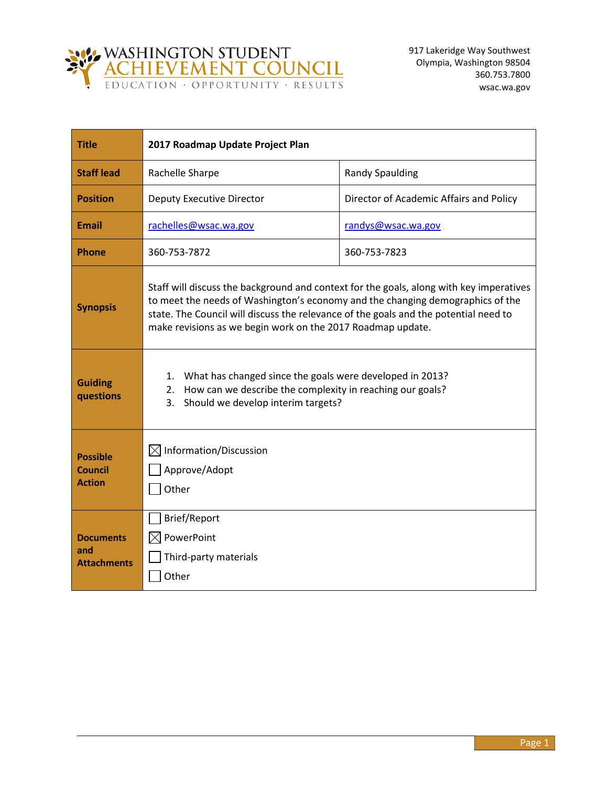

| <b>Title</b>                                       | 2017 Roadmap Update Project Plan                                                                                                                                                                                                                                                                                                 |                                         |
|----------------------------------------------------|----------------------------------------------------------------------------------------------------------------------------------------------------------------------------------------------------------------------------------------------------------------------------------------------------------------------------------|-----------------------------------------|
| <b>Staff lead</b>                                  | Rachelle Sharpe                                                                                                                                                                                                                                                                                                                  | <b>Randy Spaulding</b>                  |
| <b>Position</b>                                    | <b>Deputy Executive Director</b>                                                                                                                                                                                                                                                                                                 | Director of Academic Affairs and Policy |
| <b>Email</b>                                       | rachelles@wsac.wa.gov                                                                                                                                                                                                                                                                                                            | randys@wsac.wa.gov                      |
| <b>Phone</b>                                       | 360-753-7872                                                                                                                                                                                                                                                                                                                     | 360-753-7823                            |
| <b>Synopsis</b>                                    | Staff will discuss the background and context for the goals, along with key imperatives<br>to meet the needs of Washington's economy and the changing demographics of the<br>state. The Council will discuss the relevance of the goals and the potential need to<br>make revisions as we begin work on the 2017 Roadmap update. |                                         |
| <b>Guiding</b><br>questions                        | What has changed since the goals were developed in 2013?<br>1.<br>How can we describe the complexity in reaching our goals?<br>2.<br>Should we develop interim targets?<br>3.                                                                                                                                                    |                                         |
| <b>Possible</b><br><b>Council</b><br><b>Action</b> | Information/Discussion<br>$\boxtimes$<br>Approve/Adopt<br>Other                                                                                                                                                                                                                                                                  |                                         |
| <b>Documents</b><br>and<br><b>Attachments</b>      | Brief/Report<br>PowerPoint<br>$\boxtimes$<br>Third-party materials<br>Other                                                                                                                                                                                                                                                      |                                         |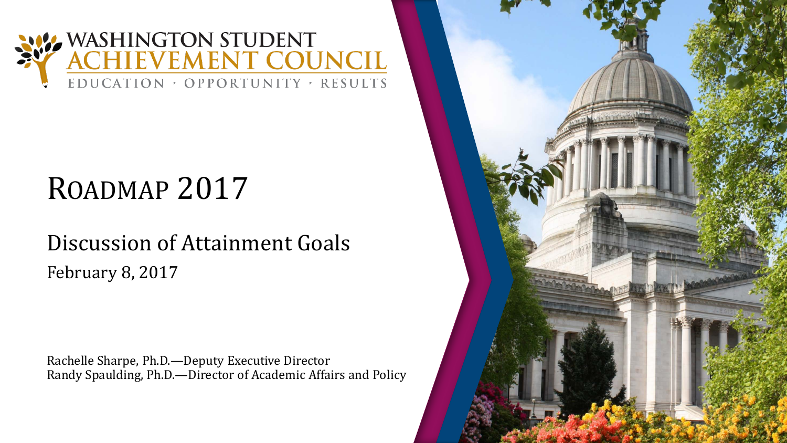

# ROADMAP 2017

### Discussion of Attainment Goals February 8, 2017

Rachelle Sharpe, Ph.D.—Deputy Executive Director Randy Spaulding, Ph.D.—Director of Academic Affairs and Policy

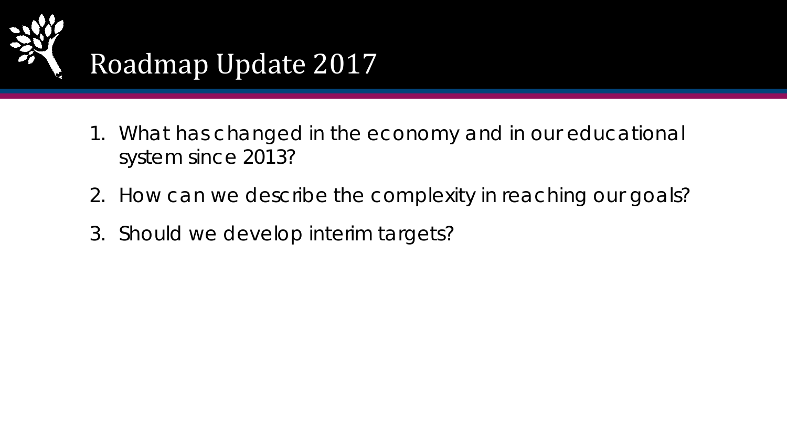

- 1. What has changed in the economy and in our educational system since 2013?
- 2. How can we describe the complexity in reaching our goals?
- 3. Should we develop interim targets?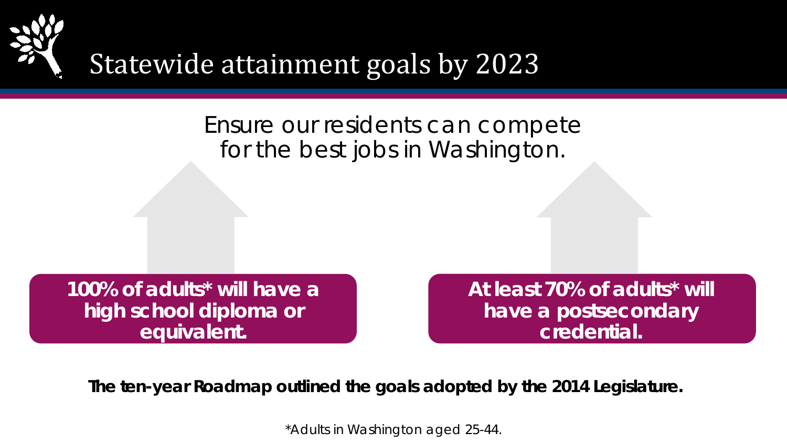

## Statewide attainment goals by 2023

### Ensure our residents can compete for the best jobs in Washington.

**100% of adults\* will have a high school diploma or equivalent.** 

**At least 70% of adults\* will have a postsecondary credential.** 

**The ten-year Roadmap outlined the goals adopted by the 2014 Legislature.**

\*Adults in Washington aged 25-44.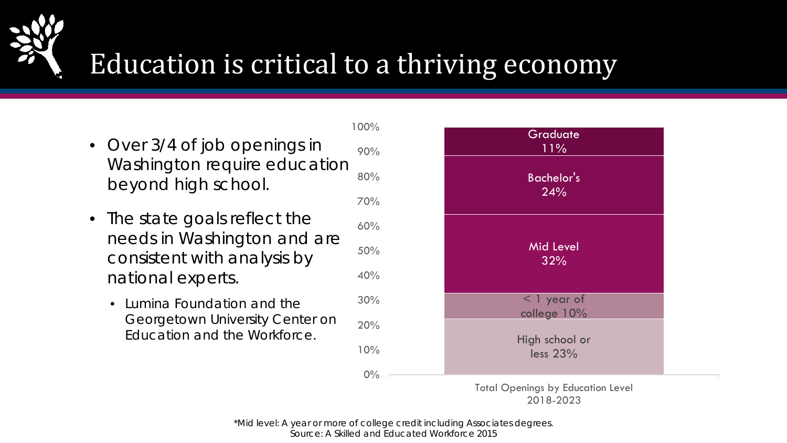

## Education is critical to a thriving economy

- 80% 90% • Over 3/4 of job openings in Washington require education beyond high school.
- 40% 50% 60% • The state goals reflect the needs in Washington and are consistent with analysis by national experts.
	- 20% 30% • Lumina Foundation and the Georgetown University Center on Education and the Workforce.



#### Total Openings by Education Level 2018-2023

\*Mid level: A year or more of college credit including Associates degrees. Source: A Skilled and Educated Workforce 2015

0%

10%

70%

100%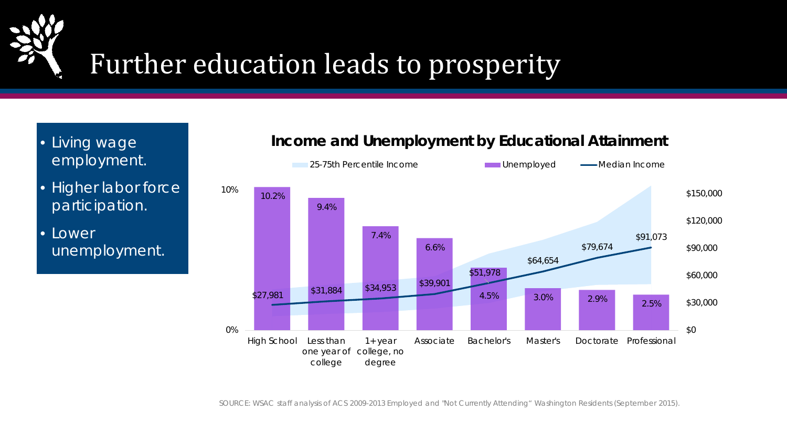

# Further education leads to prosperity

- Living wage employment.
- Higher labor force participation.
- Lower unemployment.

#### **Income and Unemployment by Educational Attainment**



SOURCE: WSAC staff analysis of ACS 2009-2013 Employed and "Not Currently Attending" Washington Residents (September 2015).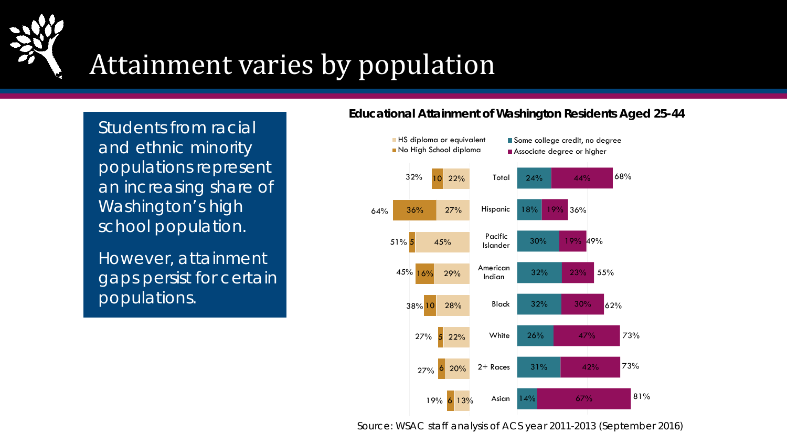

## Attainment varies by population

Students from racial and ethnic minority populations represent an increasing share of Washington's high school population.

However, attainment gaps persist for certain populations.

#### **Educational Attainment of Washington Residents Aged 25-44**



Source: WSAC staff analysis of ACS year 2011-2013 (September 2016)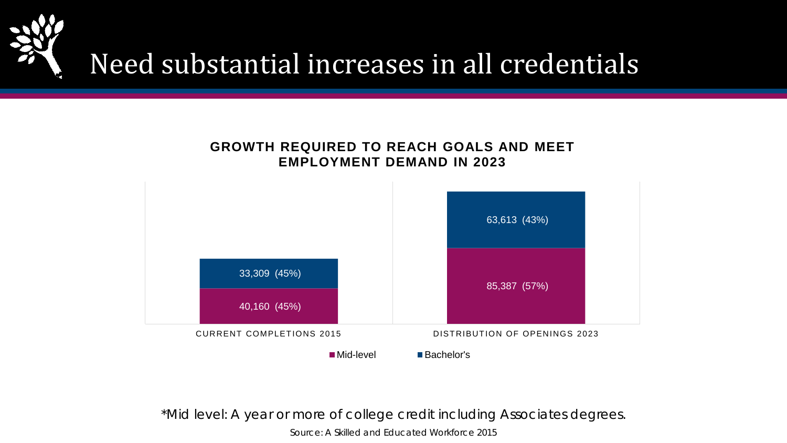



\*Mid level: A year or more of college credit including Associates degrees.

Source: A Skilled and Educated Workforce 2015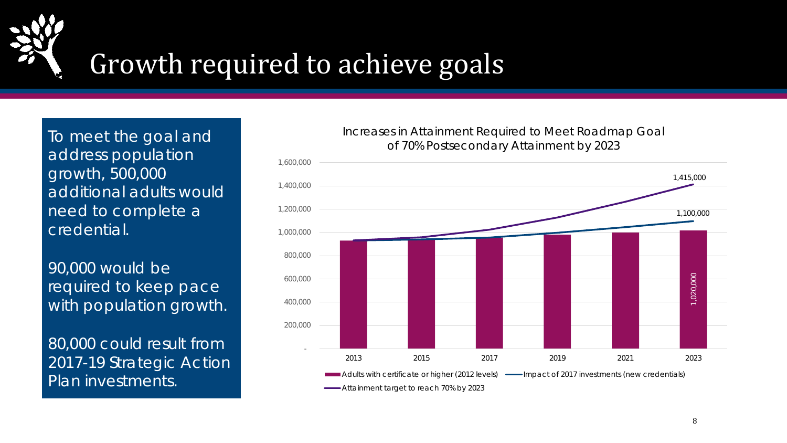

## Growth required to achieve goals

To meet the goal and address population growth, 500,000 additional adults would need to complete a credential.

90,000 would be required to keep pace with population growth.

80,000 could result from 2017-19 Strategic Action Plan investments.

#### Increases in Attainment Required to Meet Roadmap Goal of 70% Postsecondary Attainment by 2023

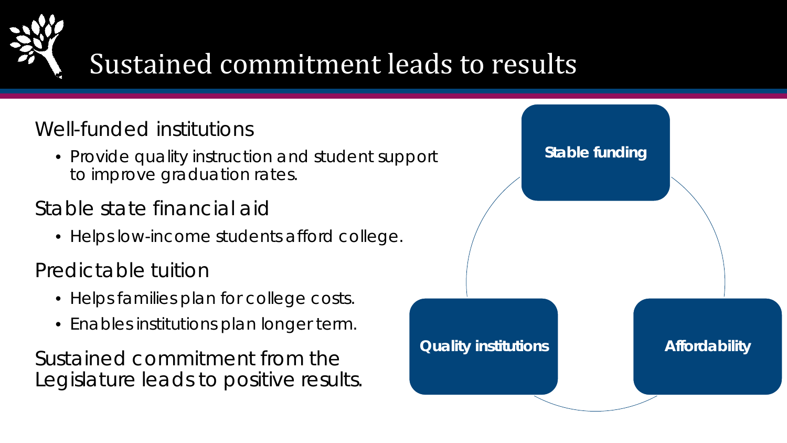

# Sustained commitment leads to results

### Well-funded institutions

• Provide quality instruction and student support to improve graduation rates.

### Stable state financial aid

• Helps low-income students afford college.

Predictable tuition

- Helps families plan for college costs.
- Enables institutions plan longer term.

Sustained commitment from the Legislature leads to positive results.

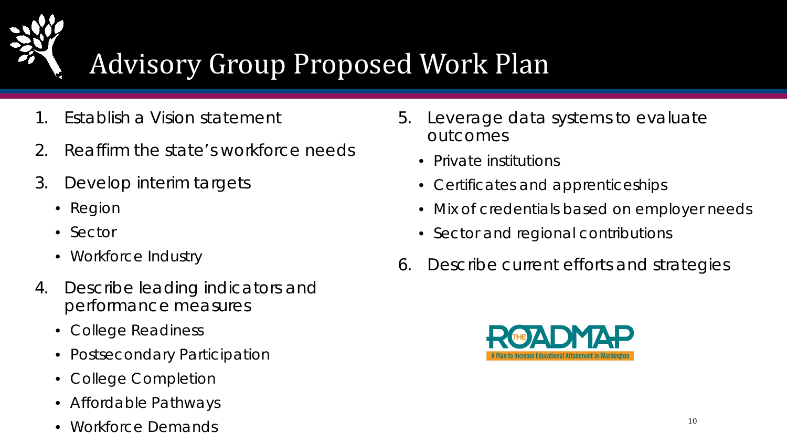

# Advisory Group Proposed Work Plan

- Establish a Vision statement
- 2. Reaffirm the state's workforce needs
- 3. Develop interim targets
	- Region
	- Sector
	- Workforce Industry
- 4. Describe leading indicators and performance measures
	- College Readiness
	- Postsecondary Participation
	- College Completion
	- Affordable Pathways
	- Workforce Demands  $10$
- 5. Leverage data systems to evaluate outcomes
	- Private institutions
	- Certificates and apprenticeships
	- Mix of credentials based on employer needs
	- Sector and regional contributions
- 6. Describe current efforts and strategies

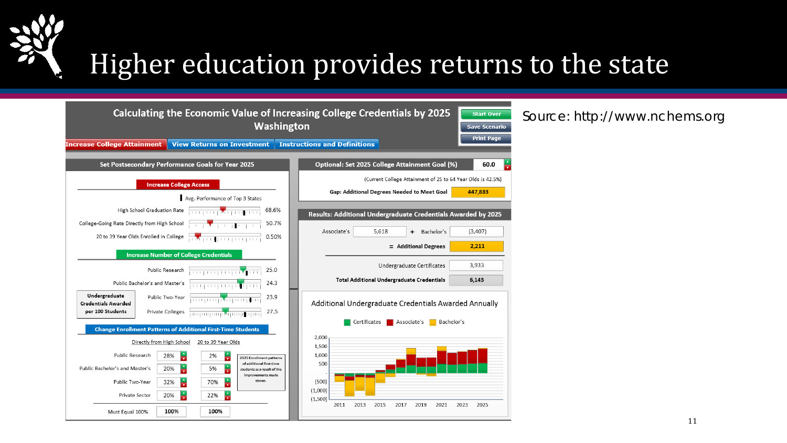

# Higher education provides returns to the state

| Calculating the Economic Value of Increasing College Credentials by 2025                                                                                                                                                                     |                                                               |                     |
|----------------------------------------------------------------------------------------------------------------------------------------------------------------------------------------------------------------------------------------------|---------------------------------------------------------------|---------------------|
| Washington                                                                                                                                                                                                                                   |                                                               | <b>Save Scenari</b> |
| <b>View Returns on Investment</b><br><b>Increase College Attainment</b>                                                                                                                                                                      | <b>Instructions and Definitions</b>                           | <b>Print Page</b>   |
|                                                                                                                                                                                                                                              |                                                               |                     |
| Set Postsecondary Performance Goals for Year 2025                                                                                                                                                                                            | Optional: Set 2025 College Attainment Goal (%)                | 60.0                |
| <b>Increase College Access</b>                                                                                                                                                                                                               | (Current College Attainment of 25 to 64 Year Olds is 42.5%)   |                     |
| Avg. Performance of Top 3 States                                                                                                                                                                                                             | Gap: Additional Degrees Needed to Meet Goal                   | 447,883             |
| High School Graduation Rate<br>68.6%                                                                                                                                                                                                         | Results: Additional Undergraduate Credentials Awarded by 2025 |                     |
| 50.7%                                                                                                                                                                                                                                        |                                                               |                     |
| 20 to 39 Year Olds Enrolled in College<br>0.50%                                                                                                                                                                                              | Associate's<br>5.618<br>Bachelor's<br>$+$                     | (3,407)             |
| <b>Increase Number of College Credentials</b>                                                                                                                                                                                                | = Additional Degrees                                          | 2,211               |
| Public Research <b>Public Research</b><br>25.0                                                                                                                                                                                               | Undergraduate Certificates                                    | 3,933               |
| Public Bachelor's and Master's <b>Contract Contract Party Contract Contract Party Contract Contract Contract Contract Contract Contract Contract Contract Contract Contract Contract Contract Contract Contract Contract Contrac</b><br>24.3 | <b>Total Additional Undergraduate Credentials</b>             | 6,143               |
| Undergraduate<br>23.9                                                                                                                                                                                                                        |                                                               |                     |
| <b>Credentials Awarded</b>                                                                                                                                                                                                                   | Additional Undergraduate Credentials Awarded Annually         |                     |
| Private Colleges <b>For a contract of the Colleges</b><br>27.5<br>per 100 Students                                                                                                                                                           | Certificates<br>Associate's<br>Bachelor's                     |                     |
| <b>Change Enrollment Patterns of Additional First-Time Students</b>                                                                                                                                                                          | 2,000                                                         |                     |
| Directly from High School<br>20 to 39 Year Olds                                                                                                                                                                                              | 1,500                                                         |                     |
| ÷<br>÷<br>Public Research<br>28%<br>2%<br>2025 Enrollment patterns<br>of additional first-time                                                                                                                                               | 1,000<br>500                                                  |                     |
| ÷<br>$\frac{1}{\sqrt{2}}$<br>Public Bachelor's and Master's<br>20%<br>5%<br>students as a result of the<br>improvements made                                                                                                                 |                                                               |                     |
| $\frac{1}{\sqrt{2}}$<br>÷<br>above.<br>Public Two-Year<br>32%<br>70%                                                                                                                                                                         | (500)<br>(1,000)                                              |                     |
| ÷<br>÷<br>20%<br>Private Sector<br>22%                                                                                                                                                                                                       | (1,500)                                                       |                     |
| 100%<br>100%<br>Must Equal 100%                                                                                                                                                                                                              | 2011<br>2015<br>2017<br>2019<br>2021<br>2023<br>2013          | 2025                |
|                                                                                                                                                                                                                                              |                                                               |                     |

#### Source: http://www.nchems.org